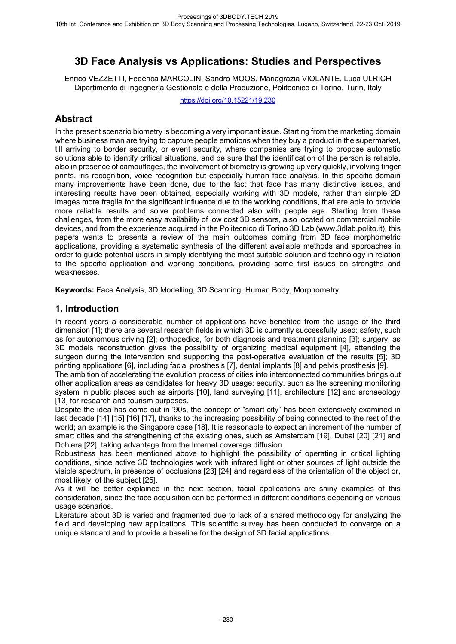# **3D Face Analysis vs Applications: Studies and Perspectives**

Enrico VEZZETTI, Federica MARCOLIN, Sandro MOOS, Mariagrazia VIOLANTE, Luca ULRICH Dipartimento di Ingegneria Gestionale e della Produzione, Politecnico di Torino, Turin, Italy

https://doi.org/10.15221/19.230

### **Abstract**

In the present scenario biometry is becoming a very important issue. Starting from the marketing domain where business man are trying to capture people emotions when they buy a product in the supermarket, till arriving to border security, or event security, where companies are trying to propose automatic solutions able to identify critical situations, and be sure that the identification of the person is reliable, also in presence of camouflages, the involvement of biometry is growing up very quickly, involving finger prints, iris recognition, voice recognition but especially human face analysis. In this specific domain many improvements have been done, due to the fact that face has many distinctive issues, and interesting results have been obtained, especially working with 3D models, rather than simple 2D images more fragile for the significant influence due to the working conditions, that are able to provide more reliable results and solve problems connected also with people age. Starting from these challenges, from the more easy availability of low cost 3D sensors, also located on commercial mobile devices, and from the experience acquired in the Politecnico di Torino 3D Lab (www.3dlab.polito.it), this papers wants to presents a review of the main outcomes coming from 3D face morphometric applications, providing a systematic synthesis of the different available methods and approaches in order to guide potential users in simply identifying the most suitable solution and technology in relation to the specific application and working conditions, providing some first issues on strengths and weaknesses.

**Keywords:** Face Analysis, 3D Modelling, 3D Scanning, Human Body, Morphometry

### **1. Introduction**

In recent years a considerable number of applications have benefited from the usage of the third dimension [1]; there are several research fields in which 3D is currently successfully used: safety, such as for autonomous driving [2]; orthopedics, for both diagnosis and treatment planning [3]; surgery, as 3D models reconstruction gives the possibility of organizing medical equipment [4], attending the surgeon during the intervention and supporting the post-operative evaluation of the results [5]; 3D printing applications [6], including facial prosthesis [7], dental implants [8] and pelvis prosthesis [9].

The ambition of accelerating the evolution process of cities into interconnected communities brings out other application areas as candidates for heavy 3D usage: security, such as the screening monitoring system in public places such as airports [10], land surveying [11], architecture [12] and archaeology [13] for research and tourism purposes.

Despite the idea has come out in '90s, the concept of "smart city" has been extensively examined in last decade [14] [15] [16] [17], thanks to the increasing possibility of being connected to the rest of the world; an example is the Singapore case [18]. It is reasonable to expect an increment of the number of smart cities and the strengthening of the existing ones, such as Amsterdam [19], Dubai [20] [21] and Dohlera [22], taking advantage from the Internet coverage diffusion.

Robustness has been mentioned above to highlight the possibility of operating in critical lighting conditions, since active 3D technologies work with infrared light or other sources of light outside the visible spectrum, in presence of occlusions [23] [24] and regardless of the orientation of the object or, most likely, of the subject [25].

As it will be better explained in the next section, facial applications are shiny examples of this consideration, since the face acquisition can be performed in different conditions depending on various usage scenarios.

Literature about 3D is varied and fragmented due to lack of a shared methodology for analyzing the field and developing new applications. This scientific survey has been conducted to converge on a unique standard and to provide a baseline for the design of 3D facial applications.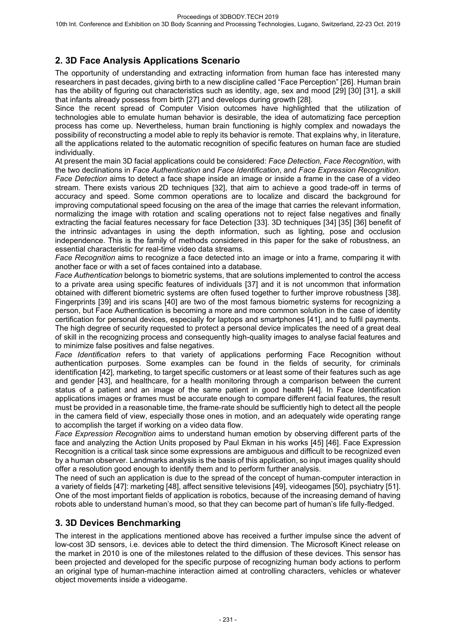# **2. 3D Face Analysis Applications Scenario**

The opportunity of understanding and extracting information from human face has interested many researchers in past decades, giving birth to a new discipline called "Face Perception" [26]. Human brain has the ability of figuring out characteristics such as identity, age, sex and mood [29] [30] [31], a skill that infants already possess from birth [27] and develops during growth [28].

Since the recent spread of Computer Vision outcomes have highlighted that the utilization of technologies able to emulate human behavior is desirable, the idea of automatizing face perception process has come up. Nevertheless, human brain functioning is highly complex and nowadays the possibility of reconstructing a model able to reply its behavior is remote. That explains why, in literature, all the applications related to the automatic recognition of specific features on human face are studied individually.

At present the main 3D facial applications could be considered: *Face Detection, Face Recognition*, with the two declinations in *Face Authentication* and *Face Identification*, and *Face Expression Recognition*. *Face Detection* aims to detect a face shape inside an image or inside a frame in the case of a video stream. There exists various 2D techniques [32], that aim to achieve a good trade-off in terms of accuracy and speed. Some common operations are to localize and discard the background for improving computational speed focusing on the area of the image that carries the relevant information, normalizing the image with rotation and scaling operations not to reject false negatives and finally extracting the facial features necessary for face Detection [33]. 3D techniques [34] [35] [36] benefit of the intrinsic advantages in using the depth information, such as lighting, pose and occlusion independence. This is the family of methods considered in this paper for the sake of robustness, an essential characteristic for real-time video data streams.

*Face Recognition* aims to recognize a face detected into an image or into a frame, comparing it with another face or with a set of faces contained into a database.

*Face Authentication* belongs to biometric systems, that are solutions implemented to control the access to a private area using specific features of individuals [37] and it is not uncommon that information obtained with different biometric systems are often fused together to further improve robustness [38]. Fingerprints [39] and iris scans [40] are two of the most famous biometric systems for recognizing a person, but Face Authentication is becoming a more and more common solution in the case of identity certification for personal devices, especially for laptops and smartphones [41], and to fulfil payments. The high degree of security requested to protect a personal device implicates the need of a great deal of skill in the recognizing process and consequently high-quality images to analyse facial features and to minimize false positives and false negatives.

*Face Identification* refers to that variety of applications performing Face Recognition without authentication purposes. Some examples can be found in the fields of security, for criminals identification [42], marketing, to target specific customers or at least some of their features such as age and gender [43], and healthcare, for a health monitoring through a comparison between the current status of a patient and an image of the same patient in good health [44]. In Face Identification applications images or frames must be accurate enough to compare different facial features, the result must be provided in a reasonable time, the frame-rate should be sufficiently high to detect all the people in the camera field of view, especially those ones in motion, and an adequately wide operating range to accomplish the target if working on a video data flow.

*Face Expression Recognition* aims to understand human emotion by observing different parts of the face and analyzing the Action Units proposed by Paul Ekman in his works [45] [46]. Face Expression Recognition is a critical task since some expressions are ambiguous and difficult to be recognized even by a human observer. Landmarks analysis is the basis of this application, so input images quality should offer a resolution good enough to identify them and to perform further analysis.

The need of such an application is due to the spread of the concept of human-computer interaction in a variety of fields [47]: marketing [48], affect sensitive televisions [49], videogames [50], psychiatry [51]. One of the most important fields of application is robotics, because of the increasing demand of having robots able to understand human's mood, so that they can become part of human's life fully-fledged.

### **3. 3D Devices Benchmarking**

The interest in the applications mentioned above has received a further impulse since the advent of low-cost 3D sensors, i.e. devices able to detect the third dimension. The Microsoft Kinect release on the market in 2010 is one of the milestones related to the diffusion of these devices. This sensor has been projected and developed for the specific purpose of recognizing human body actions to perform an original type of human-machine interaction aimed at controlling characters, vehicles or whatever object movements inside a videogame.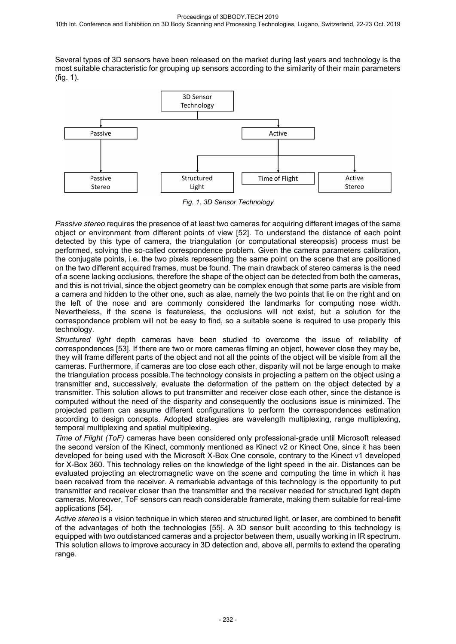Several types of 3D sensors have been released on the market during last years and technology is the most suitable characteristic for grouping up sensors according to the similarity of their main parameters (fig. 1).



*Fig. 1. 3D Sensor Technology* 

*Passive stereo* requires the presence of at least two cameras for acquiring different images of the same object or environment from different points of view [52]. To understand the distance of each point detected by this type of camera, the triangulation (or computational stereopsis) process must be performed, solving the so-called correspondence problem. Given the camera parameters calibration, the conjugate points, i.e. the two pixels representing the same point on the scene that are positioned on the two different acquired frames, must be found. The main drawback of stereo cameras is the need of a scene lacking occlusions, therefore the shape of the object can be detected from both the cameras, and this is not trivial, since the object geometry can be complex enough that some parts are visible from a camera and hidden to the other one, such as alae, namely the two points that lie on the right and on the left of the nose and are commonly considered the landmarks for computing nose width. Nevertheless, if the scene is featureless, the occlusions will not exist, but a solution for the correspondence problem will not be easy to find, so a suitable scene is required to use properly this technology.

*Structured light* depth cameras have been studied to overcome the issue of reliability of correspondences [53]. If there are two or more cameras filming an object, however close they may be, they will frame different parts of the object and not all the points of the object will be visible from all the cameras. Furthermore, if cameras are too close each other, disparity will not be large enough to make the triangulation process possible.The technology consists in projecting a pattern on the object using a transmitter and, successively, evaluate the deformation of the pattern on the object detected by a transmitter. This solution allows to put transmitter and receiver close each other, since the distance is computed without the need of the disparity and consequently the occlusions issue is minimized. The projected pattern can assume different configurations to perform the correspondences estimation according to design concepts. Adopted strategies are wavelength multiplexing, range multiplexing, temporal multiplexing and spatial multiplexing.

*Time of Flight (ToF)* cameras have been considered only professional-grade until Microsoft released the second version of the Kinect, commonly mentioned as Kinect v2 or Kinect One, since it has been developed for being used with the Microsoft X-Box One console, contrary to the Kinect v1 developed for X-Box 360. This technology relies on the knowledge of the light speed in the air. Distances can be evaluated projecting an electromagnetic wave on the scene and computing the time in which it has been received from the receiver. A remarkable advantage of this technology is the opportunity to put transmitter and receiver closer than the transmitter and the receiver needed for structured light depth cameras. Moreover, ToF sensors can reach considerable framerate, making them suitable for real-time applications [54].

*Active stereo* is a vision technique in which stereo and structured light, or laser, are combined to benefit of the advantages of both the technologies [55]. A 3D sensor built according to this technology is equipped with two outdistanced cameras and a projector between them, usually working in IR spectrum. This solution allows to improve accuracy in 3D detection and, above all, permits to extend the operating range.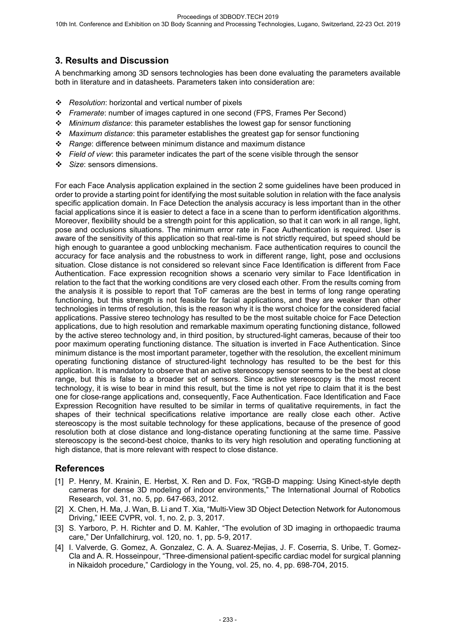## **3. Results and Discussion**

A benchmarking among 3D sensors technologies has been done evaluating the parameters available both in literature and in datasheets. Parameters taken into consideration are:

- *Resolution*: horizontal and vertical number of pixels
- *Framerate*: number of images captured in one second (FPS, Frames Per Second)
- *Minimum distance*: this parameter establishes the lowest gap for sensor functioning
- *Maximum distance*: this parameter establishes the greatest gap for sensor functioning
- *Range*: difference between minimum distance and maximum distance
- *Field of view*: this parameter indicates the part of the scene visible through the sensor
- *Size*: sensors dimensions.

For each Face Analysis application explained in the section 2 some guidelines have been produced in order to provide a starting point for identifying the most suitable solution in relation with the face analysis specific application domain. In Face Detection the analysis accuracy is less important than in the other facial applications since it is easier to detect a face in a scene than to perform identification algorithms. Moreover, flexibility should be a strength point for this application, so that it can work in all range, light, pose and occlusions situations. The minimum error rate in Face Authentication is required. User is aware of the sensitivity of this application so that real-time is not strictly required, but speed should be high enough to guarantee a good unblocking mechanism. Face authentication requires to council the accuracy for face analysis and the robustness to work in different range, light, pose and occlusions situation. Close distance is not considered so relevant since Face Identification is different from Face Authentication. Face expression recognition shows a scenario very similar to Face Identification in relation to the fact that the working conditions are very closed each other. From the results coming from the analysis it is possible to report that ToF cameras are the best in terms of long range operating functioning, but this strength is not feasible for facial applications, and they are weaker than other technologies in terms of resolution, this is the reason why it is the worst choice for the considered facial applications. Passive stereo technology has resulted to be the most suitable choice for Face Detection applications, due to high resolution and remarkable maximum operating functioning distance, followed by the active stereo technology and, in third position, by structured-light cameras, because of their too poor maximum operating functioning distance. The situation is inverted in Face Authentication. Since minimum distance is the most important parameter, together with the resolution, the excellent minimum operating functioning distance of structured-light technology has resulted to be the best for this application. It is mandatory to observe that an active stereoscopy sensor seems to be the best at close range, but this is false to a broader set of sensors. Since active stereoscopy is the most recent technology, it is wise to bear in mind this result, but the time is not yet ripe to claim that it is the best one for close-range applications and, consequently, Face Authentication. Face Identification and Face Expression Recognition have resulted to be similar in terms of qualitative requirements, in fact the shapes of their technical specifications relative importance are really close each other. Active stereoscopy is the most suitable technology for these applications, because of the presence of good resolution both at close distance and long-distance operating functioning at the same time. Passive stereoscopy is the second-best choice, thanks to its very high resolution and operating functioning at high distance, that is more relevant with respect to close distance.

### **References**

- [1] P. Henry, M. Krainin, E. Herbst, X. Ren and D. Fox, "RGB-D mapping: Using Kinect-style depth cameras for dense 3D modeling of indoor environments," The International Journal of Robotics Research, vol. 31, no. 5, pp. 647-663, 2012.
- [2] X. Chen, H. Ma, J. Wan, B. Li and T. Xia, "Multi-View 3D Object Detection Network for Autonomous Driving," IEEE CVPR, vol. 1, no. 2, p. 3, 2017.
- [3] S. Yarboro, P. H. Richter and D. M. Kahler, "The evolution of 3D imaging in orthopaedic trauma care," Der Unfallchirurg, vol. 120, no. 1, pp. 5-9, 2017.
- [4] I. Valverde, G. Gomez, A. Gonzalez, C. A. A. Suarez-Mejias, J. F. Coserria, S. Uribe, T. Gomez-Cla and A. R. Hosseinpour, "Three-dimensional patient-specific cardiac model for surgical planning in Nikaidoh procedure," Cardiology in the Young, vol. 25, no. 4, pp. 698-704, 2015.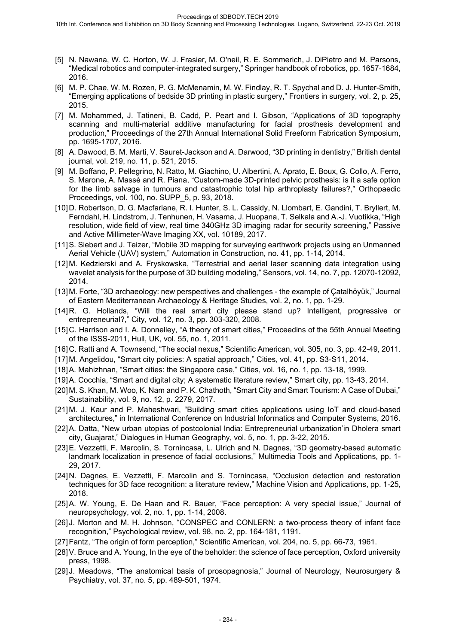- [5] N. Nawana, W. C. Horton, W. J. Frasier, M. O'neil, R. E. Sommerich, J. DiPietro and M. Parsons, "Medical robotics and computer-integrated surgery," Springer handbook of robotics, pp. 1657-1684, 2016.
- [6] M. P. Chae, W. M. Rozen, P. G. McMenamin, M. W. Findlay, R. T. Spychal and D. J. Hunter-Smith, "Emerging applications of bedside 3D printing in plastic surgery," Frontiers in surgery, vol. 2, p. 25, 2015.
- [7] M. Mohammed, J. Tatineni, B. Cadd, P. Peart and I. Gibson, "Applications of 3D topography scanning and multi-material additive manufacturing for facial prosthesis development and production," Proceedings of the 27th Annual International Solid Freeform Fabrication Symposium, pp. 1695-1707, 2016.
- [8] A. Dawood, B. M. Marti, V. Sauret-Jackson and A. Darwood, "3D printing in dentistry," British dental journal, vol. 219, no. 11, p. 521, 2015.
- [9] M. Boffano, P. Pellegrino, N. Ratto, M. Giachino, U. Albertini, A. Aprato, E. Boux, G. Collo, A. Ferro, S. Marone, A. Massè and R. Piana, "Custom-made 3D-printed pelvic prosthesis: is it a safe option for the limb salvage in tumours and catastrophic total hip arthroplasty failures?," Orthopaedic Proceedings, vol. 100, no. SUPP\_5, p. 93, 2018.
- [10] D. Robertson, D. G. Macfarlane, R. I. Hunter, S. L. Cassidy, N. Llombart, E. Gandini, T. Bryllert, M. Ferndahl, H. Lindstrom, J. Tenhunen, H. Vasama, J. Huopana, T. Selkala and A.-J. Vuotikka, "High resolution, wide field of view, real time 340GHz 3D imaging radar for security screening," Passive and Active Millimeter-Wave Imaging XX, vol. 10189, 2017.
- [11] S. Siebert and J. Teizer, "Mobile 3D mapping for surveying earthwork projects using an Unmanned Aerial Vehicle (UAV) system," Automation in Construction, no. 41, pp. 1-14, 2014.
- [12] M. Kedzierski and A. Fryskowska, "Terrestrial and aerial laser scanning data integration using wavelet analysis for the purpose of 3D building modeling," Sensors, vol. 14, no. 7, pp. 12070-12092, 2014.
- [13] M. Forte, "3D archaeology: new perspectives and challenges the example of Çatalhöyük," Journal of Eastern Mediterranean Archaeology & Heritage Studies, vol. 2, no. 1, pp. 1-29.
- [14] R. G. Hollands, "Will the real smart city please stand up? Intelligent, progressive or entrepreneurial?," City, vol. 12, no. 3, pp. 303-320, 2008.
- [15] C. Harrison and I. A. Donnelley, "A theory of smart cities," Proceedins of the 55th Annual Meeting of the ISSS-2011, Hull, UK, vol. 55, no. 1, 2011.
- [16] C. Ratti and A. Townsend, "The social nexus," Scientific American, vol. 305, no. 3, pp. 42-49, 2011.
- [17] M. Angelidou, "Smart city policies: A spatial approach," Cities, vol. 41, pp. S3-S11, 2014.
- [18] A. Mahizhnan, "Smart cities: the Singapore case," Cities, vol. 16, no. 1, pp. 13-18, 1999.
- [19] A. Cocchia, "Smart and digital city; A systematic literature review," Smart city, pp. 13-43, 2014.
- [20] M. S. Khan, M. Woo, K. Nam and P. K. Chathoth, "Smart City and Smart Tourism: A Case of Dubai," Sustainability, vol. 9, no. 12, p. 2279, 2017.
- [21] M. J. Kaur and P. Maheshwari, "Building smart cities applications using IoT and cloud-based architectures," in International Conference on Industrial Informatics and Computer Systems, 2016.
- [22] A. Datta, "New urban utopias of postcolonial India: Entrepreneurial urbanization'in Dholera smart city, Guajarat," Dialogues in Human Geography, vol. 5, no. 1, pp. 3-22, 2015.
- [23] E. Vezzetti, F. Marcolin, S. Tornincasa, L. Ulrich and N. Dagnes, "3D geometry-based automatic landmark localization in presence of facial occlusions," Multimedia Tools and Applications, pp. 1- 29, 2017.
- [24] N. Dagnes, E. Vezzetti, F. Marcolin and S. Tornincasa, "Occlusion detection and restoration techniques for 3D face recognition: a literature review," Machine Vision and Applications, pp. 1-25, 2018.
- [25] A. W. Young, E. De Haan and R. Bauer, "Face perception: A very special issue," Journal of neuropsychology, vol. 2, no. 1, pp. 1-14, 2008.
- [26] J. Morton and M. H. Johnson, "CONSPEC and CONLERN: a two-process theory of infant face recognition," Psychological review, vol. 98, no. 2, pp. 164-181, 1191.
- [27] Fantz, "The origin of form perception," Scientific American, vol. 204, no. 5, pp. 66-73, 1961.
- [28] V. Bruce and A. Young, In the eye of the beholder: the science of face perception, Oxford university press, 1998.
- [29] J. Meadows, "The anatomical basis of prosopagnosia," Journal of Neurology, Neurosurgery & Psychiatry, vol. 37, no. 5, pp. 489-501, 1974.